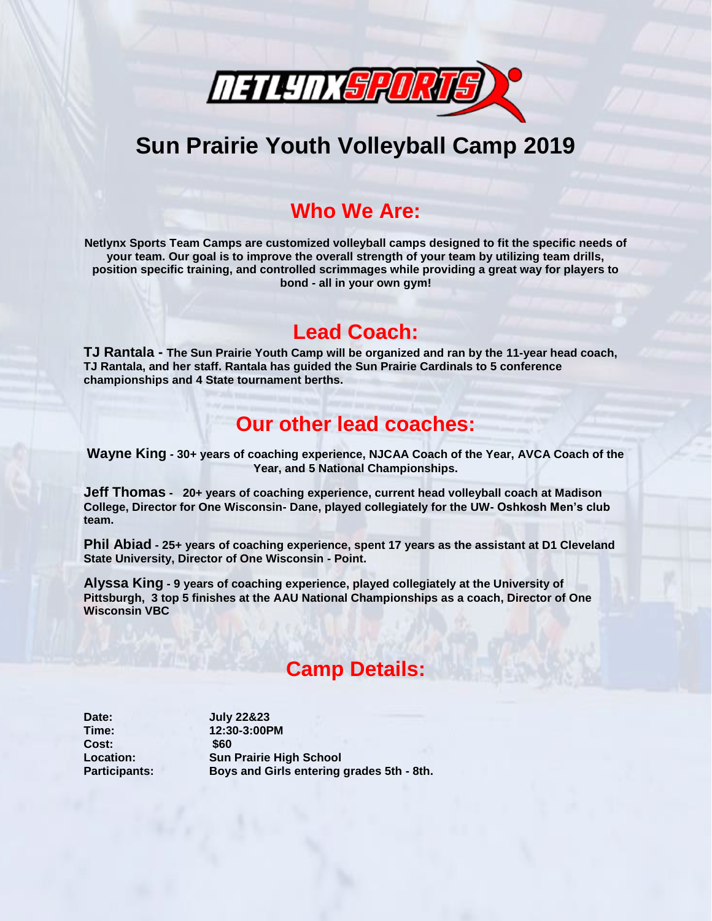

# **Sun Prairie Youth Volleyball Camp 2019**

### **Who We Are:**

**Netlynx Sports Team Camps are customized volleyball camps designed to fit the specific needs of your team. Our goal is to improve the overall strength of your team by utilizing team drills, position specific training, and controlled scrimmages while providing a great way for players to bond - all in your own gym!**

#### **Lead Coach:**

**TJ Rantala - The Sun Prairie Youth Camp will be organized and ran by the 11-year head coach, TJ Rantala, and her staff. Rantala has guided the Sun Prairie Cardinals to 5 conference championships and 4 State tournament berths.**

#### **Our other lead coaches:**

**Wayne King - 30+ years of coaching experience, NJCAA Coach of the Year, AVCA Coach of the Year, and 5 National Championships.**

**Jeff Thomas - 20+ years of coaching experience, current head volleyball coach at Madison College, Director for One Wisconsin- Dane, played collegiately for the UW- Oshkosh Men's club team.**

**Phil Abiad - 25+ years of coaching experience, spent 17 years as the assistant at D1 Cleveland State University, Director of One Wisconsin - Point.**

**Alyssa King - 9 years of coaching experience, played collegiately at the University of Pittsburgh, 3 top 5 finishes at the AAU National Championships as a coach, Director of One Wisconsin VBC**

## **Camp Details:**

**Date: July 22&23 Cost: \$60**

**Time: 12:30-3:00PM Location: Sun Prairie High School Participants: Boys and Girls entering grades 5th - 8th.**